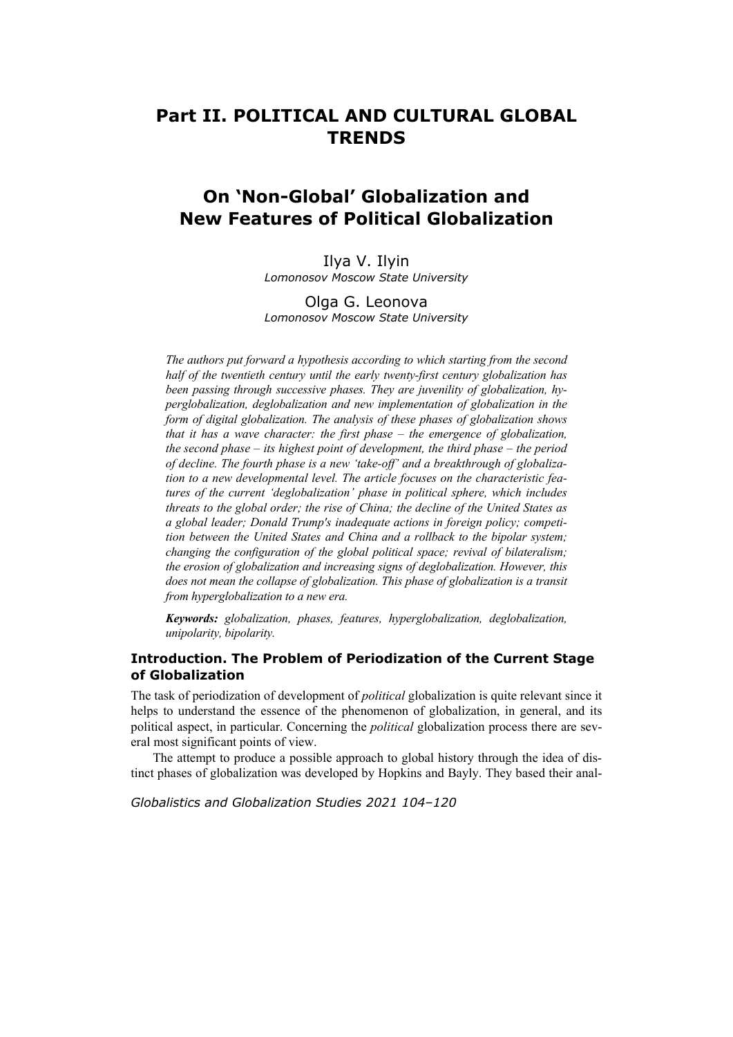# **Part II. POLITICAL AND CULTURAL GLOBAL TRENDS**

# **On 'Non-Global' Globalization and New Features of Political Globalization**

Ilya V. Ilyin *Lomonosov Moscow State University* 

Olga G. Leonova *Lomonosov Moscow State University* 

*The authors put forward a hypothesis according to which starting from the second half of the twentieth century until the early twenty-first century globalization has been passing through successive phases. They are juvenility of globalization, hyperglobalization, deglobalization and new implementation of globalization in the form of digital globalization. The analysis of these phases of globalization shows that it has a wave character: the first phase – the emergence of globalization, the second phase – its highest point of development, the third phase – the period of decline. The fourth phase is a new 'take-off' and a breakthrough of globalization to a new developmental level. The article focuses on the characteristic features of the current 'deglobalization' phase in political sphere, which includes threats to the global order; the rise of China; the decline of the United States as a global leader; Donald Trump's inadequate actions in foreign policy; competition between the United States and China and a rollback to the bipolar system; changing the configuration of the global political space; revival of bilateralism; the erosion of globalization and increasing signs of deglobalization. However, this does not mean the collapse of globalization. This phase of globalization is a transit from hyperglobalization to a new era.* 

*Keywords: globalization, phases, features, hyperglobalization, deglobalization, unipolarity, bipolarity.* 

# **Introduction. The Problem of Periodization of the Current Stage of Globalization**

The task of periodization of development of *political* globalization is quite relevant since it helps to understand the essence of the phenomenon of globalization, in general, and its political aspect, in particular. Concerning the *political* globalization process there are several most significant points of view.

The attempt to produce a possible approach to global history through the idea of distinct phases of globalization was developed by Hopkins and Bayly. They based their anal-

*Globalistics and Globalization Studies 2021 104–120*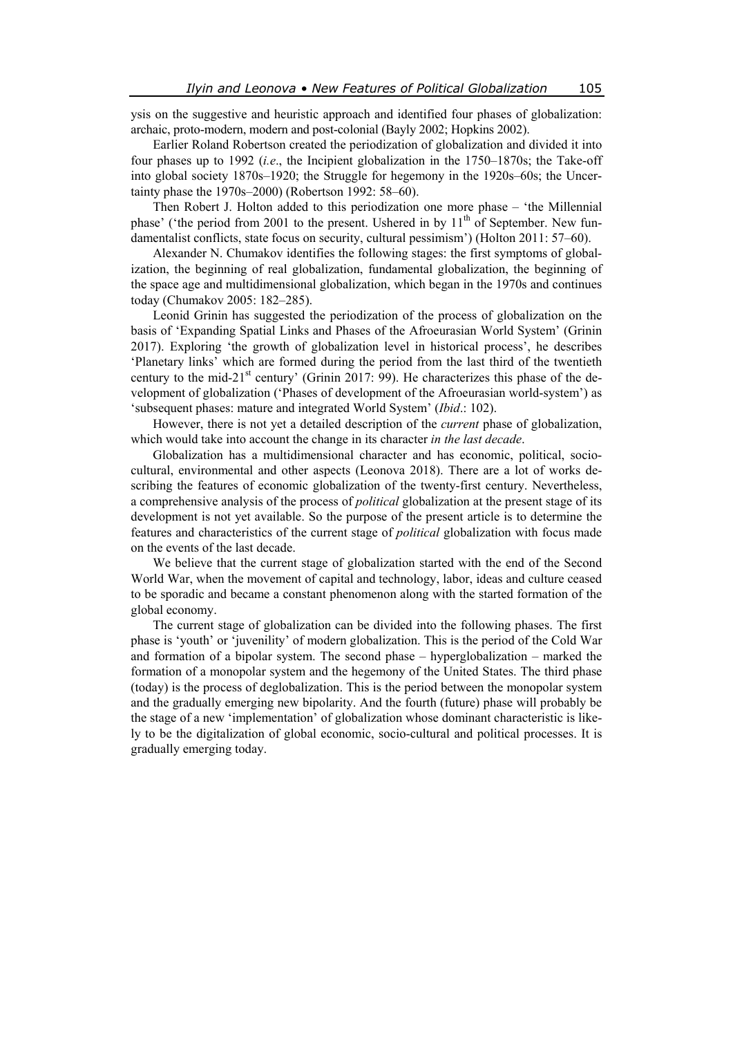ysis on the suggestive and heuristic approach and identified four phases of globalization: archaic, proto-modern, modern and post-colonial (Bayly 2002; Hopkins 2002).

Earlier Roland Robertson created the periodization of globalization and divided it into four phases up to 1992 (*i.e*., the Incipient globalization in the 1750–1870s; the Take-off into global society 1870s–1920; the Struggle for hegemony in the 1920s–60s; the Uncertainty phase the 1970s–2000) (Robertson 1992: 58–60).

Then Robert J. Holton added to this periodization one more phase – 'the Millennial phase' ('the period from 2001 to the present. Ushered in by  $11<sup>th</sup>$  of September. New fundamentalist conflicts, state focus on security, cultural pessimism') (Holton 2011: 57–60).

Alexander N. Chumakov identifies the following stages: the first symptoms of globalization, the beginning of real globalization, fundamental globalization, the beginning of the space age and multidimensional globalization, which began in the 1970s and continues today (Chumakov 2005: 182–285).

Leonid Grinin has suggested the periodization of the process of globalization on the basis of 'Expanding Spatial Links and Phases of the Afroeurasian World System' (Grinin 2017). Exploring 'the growth of globalization level in historical process', he describes 'Planetary links' which are formed during the period from the last third of the twentieth century to the mid-21 $^{\text{st}}$  century' (Grinin 2017: 99). He characterizes this phase of the development of globalization ('Phases of development of the Afroeurasian world-system') as 'subsequent phases: mature and integrated World System' (*Ibid*.: 102).

However, there is not yet a detailed description of the *current* phase of globalization, which would take into account the change in its character *in the last decade*.

Globalization has a multidimensional character and has economic, political, sociocultural, environmental and other aspects (Leonova 2018). There are a lot of works describing the features of economic globalization of the twenty-first century. Nevertheless, a comprehensive analysis of the process of *political* globalization at the present stage of its development is not yet available. So the purpose of the present article is to determine the features and characteristics of the current stage of *political* globalization with focus made on the events of the last decade.

We believe that the current stage of globalization started with the end of the Second World War, when the movement of capital and technology, labor, ideas and culture ceased to be sporadic and became a constant phenomenon along with the started formation of the global economy.

The current stage of globalization can be divided into the following phases. The first phase is 'youth' or 'juvenility' of modern globalization. This is the period of the Cold War and formation of a bipolar system. The second phase – hyperglobalization – marked the formation of a monopolar system and the hegemony of the United States. The third phase (today) is the process of deglobalization. This is the period between the monopolar system and the gradually emerging new bipolarity. And the fourth (future) phase will probably be the stage of a new 'implementation' of globalization whose dominant characteristic is likely to be the digitalization of global economic, socio-cultural and political processes. It is gradually emerging today.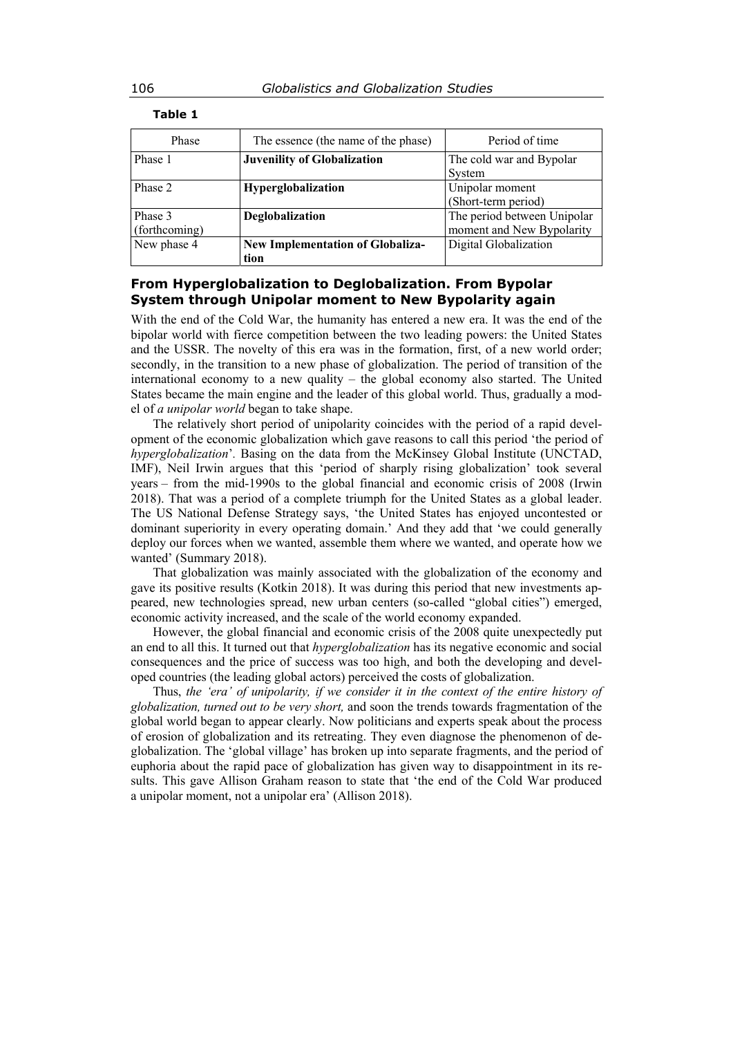| Phase         | The essence (the name of the phase)     | Period of time              |
|---------------|-----------------------------------------|-----------------------------|
| Phase 1       | Juvenility of Globalization             | The cold war and Bypolar    |
|               |                                         | System                      |
| Phase 2       | Hyperglobalization                      | Unipolar moment             |
|               |                                         | (Short-term period)         |
| Phase 3       | Deglobalization                         | The period between Unipolar |
| (forthcoming) |                                         | moment and New Bypolarity   |
| New phase 4   | <b>New Implementation of Globaliza-</b> | Digital Globalization       |
|               | tion                                    |                             |

**Table 1** 

# **From Hyperglobalization to Deglobalization. From Bypolar System through Unipolar moment to New Bypolarity again**

With the end of the Cold War, the humanity has entered a new era. It was the end of the bipolar world with fierce competition between the two leading powers: the United States and the USSR. The novelty of this era was in the formation, first, of a new world order; secondly, in the transition to a new phase of globalization. The period of transition of the international economy to a new quality – the global economy also started. The United States became the main engine and the leader of this global world. Thus, gradually a model of *a unipolar world* began to take shape.

The relatively short period of unipolarity coincides with the period of a rapid development of the economic globalization which gave reasons to call this period 'the period of *hyperglobalization*'*.* Basing on the data from the McKinsey Global Institute (UNCTAD, IMF), Neil Irwin argues that this 'period of sharply rising globalization' took several years – from the mid-1990s to the global financial and economic crisis of 2008 (Irwin 2018). That was a period of a complete triumph for the United States as a global leader. The US National Defense Strategy says, 'the United States has enjoyed uncontested or dominant superiority in every operating domain.' And they add that 'we could generally deploy our forces when we wanted, assemble them where we wanted, and operate how we wanted' (Summary 2018).

That globalization was mainly associated with the globalization of the economy and gave its positive results (Kotkin 2018). It was during this period that new investments appeared, new technologies spread, new urban centers (so-called "global cities") emerged, economic activity increased, and the scale of the world economy expanded.

However, the global financial and economic crisis of the 2008 quite unexpectedly put an end to all this. It turned out that *hyperglobalization* has its negative economic and social consequences and the price of success was too high, and both the developing and developed countries (the leading global actors) perceived the costs of globalization.

Thus, *the 'era' of unipolarity, if we consider it in the context of the entire history of globalization, turned out to be very short,* and soon the trends towards fragmentation of the global world began to appear clearly. Now politicians and experts speak about the process of erosion of globalization and its retreating. They even diagnose the phenomenon of deglobalization. The 'global village' has broken up into separate fragments, and the period of euphoria about the rapid pace of globalization has given way to disappointment in its results. This gave Allison Graham reason to state that 'the end of the Cold War produced a unipolar moment, not a unipolar era' (Allison 2018).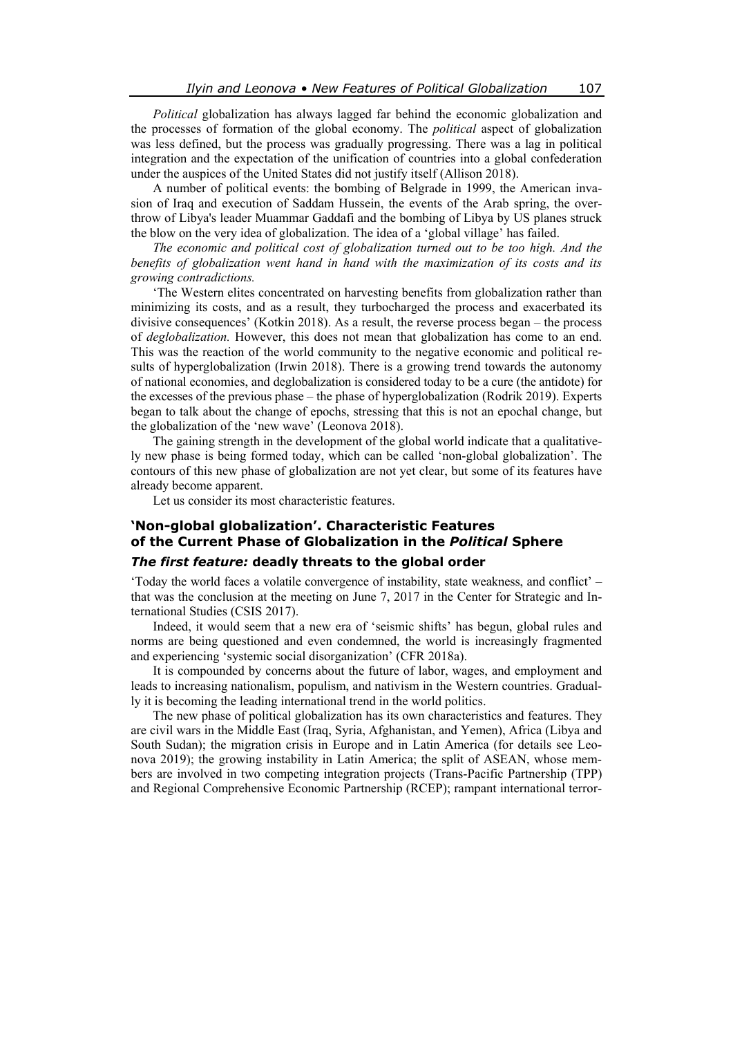*Political* globalization has always lagged far behind the economic globalization and the processes of formation of the global economy. The *political* aspect of globalization was less defined, but the process was gradually progressing. There was a lag in political integration and the expectation of the unification of countries into a global confederation under the auspices of the United States did not justify itself (Allison 2018).

A number of political events: the bombing of Belgrade in 1999, the American invasion of Iraq and execution of Saddam Hussein, the events of the Arab spring, the overthrow of Libya's leader Muammar Gaddafi and the bombing of Libya by US planes struck the blow on the very idea of globalization. The idea of a 'global village' has failed.

*The economic and political cost of globalization turned out to be too high. And the benefits of globalization went hand in hand with the maximization of its costs and its growing contradictions.* 

'The Western elites concentrated on harvesting benefits from globalization rather than minimizing its costs, and as a result, they turbocharged the process and exacerbated its divisive consequences' (Kotkin 2018). As a result, the reverse process began – the process of *deglobalization.* However, this does not mean that globalization has come to an end. This was the reaction of the world community to the negative economic and political results of hyperglobalization (Irwin 2018). There is a growing trend towards the autonomy of national economies, and deglobalization is considered today to be a cure (the antidote) for the excesses of the previous phase – the phase of hyperglobalization (Rodrik 2019). Experts began to talk about the change of epochs, stressing that this is not an epochal change, but the globalization of the 'new wave' (Leonova 2018).

The gaining strength in the development of the global world indicate that a qualitatively new phase is being formed today, which can be called 'non-global globalization'. The contours of this new phase of globalization are not yet clear, but some of its features have already become apparent.

Let us consider its most characteristic features.

# **'Non-global globalization'. Characteristic Features of the Current Phase of Globalization in the** *Political* **Sphere**

## *The first feature:* **deadly threats to the global order**

'Today the world faces a volatile convergence of instability, state weakness, and conflict' – that was the conclusion at the meeting on June 7, 2017 in the Center for Strategic and International Studies (CSIS 2017).

Indeed, it would seem that a new era of 'seismic shifts' has begun, global rules and norms are being questioned and even condemned, the world is increasingly fragmented and experiencing 'systemic social disorganization' (CFR 2018a).

It is compounded by concerns about the future of labor, wages, and employment and leads to increasing nationalism, populism, and nativism in the Western countries. Gradually it is becoming the leading international trend in the world politics.

The new phase of political globalization has its own characteristics and features. They are civil wars in the Middle East (Iraq, Syria, Afghanistan, and Yemen), Africa (Libya and South Sudan); the migration crisis in Europe and in Latin America (for details see Leonova 2019); the growing instability in Latin America; the split of ASEAN, whose members are involved in two competing integration projects (Trans-Pacific Partnership (TPP) and Regional Comprehensive Economic Partnership (RCEP); rampant international terror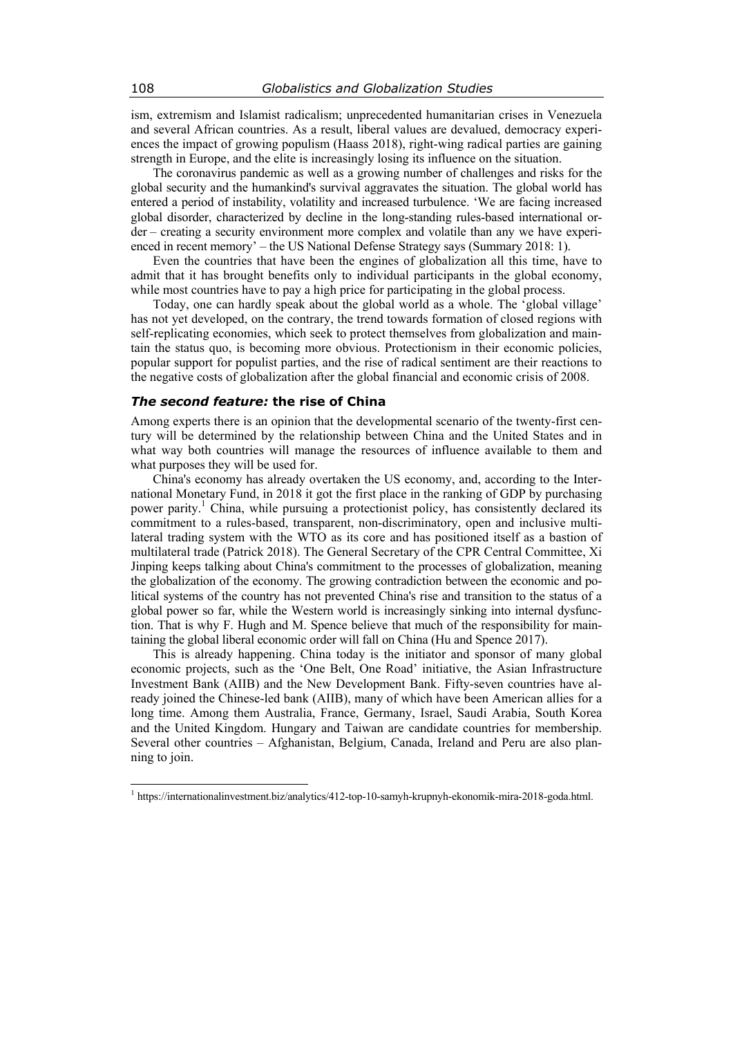ism, extremism and Islamist radicalism; unprecedented humanitarian crises in Venezuela and several African countries. As a result, liberal values are devalued, democracy experiences the impact of growing populism (Haass 2018), right-wing radical parties are gaining strength in Europe, and the elite is increasingly losing its influence on the situation.

The coronavirus pandemic as well as a growing number of challenges and risks for the global security and the humankind's survival aggravates the situation. The global world has entered a period of instability, volatility and increased turbulence. 'We are facing increased global disorder, characterized by decline in the long-standing rules-based international order – creating a security environment more complex and volatile than any we have experienced in recent memory' – the US National Defense Strategy says (Summary 2018: 1).

Even the countries that have been the engines of globalization all this time, have to admit that it has brought benefits only to individual participants in the global economy, while most countries have to pay a high price for participating in the global process.

Today, one can hardly speak about the global world as a whole. The 'global village' has not yet developed, on the contrary, the trend towards formation of closed regions with self-replicating economies, which seek to protect themselves from globalization and maintain the status quo, is becoming more obvious. Protectionism in their economic policies, popular support for populist parties, and the rise of radical sentiment are their reactions to the negative costs of globalization after the global financial and economic crisis of 2008.

#### *The second feature:* **the rise of China**

Among experts there is an opinion that the developmental scenario of the twenty-first century will be determined by the relationship between China and the United States and in what way both countries will manage the resources of influence available to them and what purposes they will be used for.

China's economy has already overtaken the US economy, and, according to the International Monetary Fund, in 2018 it got the first place in the ranking of GDP by purchasing power parity.<sup>1</sup> China, while pursuing a protectionist policy, has consistently declared its commitment to a rules-based, transparent, non-discriminatory, open and inclusive multilateral trading system with the WTO as its core and has positioned itself as a bastion of multilateral trade (Patrick 2018). The General Secretary of the CPR Central Committee, Xi Jinping keeps talking about China's commitment to the processes of globalization, meaning the globalization of the economy. The growing contradiction between the economic and political systems of the country has not prevented China's rise and transition to the status of a global power so far, while the Western world is increasingly sinking into internal dysfunction. That is why F. Hugh and M. Spence believe that much of the responsibility for maintaining the global liberal economic order will fall on China (Hu and Spence 2017).

This is already happening. China today is the initiator and sponsor of many global economic projects, such as the 'One Belt, One Road' initiative, the Asian Infrastructure Investment Bank (AIIB) and the New Development Bank. Fifty-seven countries have already joined the Chinese-led bank (AIIB), many of which have been American allies for a long time. Among them Australia, France, Germany, Israel, Saudi Arabia, South Korea and the United Kingdom. Hungary and Taiwan are candidate countries for membership. Several other countries – Afghanistan, Belgium, Canada, Ireland and Peru are also planning to join.

 $\overline{a}$ 

<sup>&</sup>lt;sup>1</sup> https://internationalinvestment.biz/analytics/412-top-10-samyh-krupnyh-ekonomik-mira-2018-goda.html.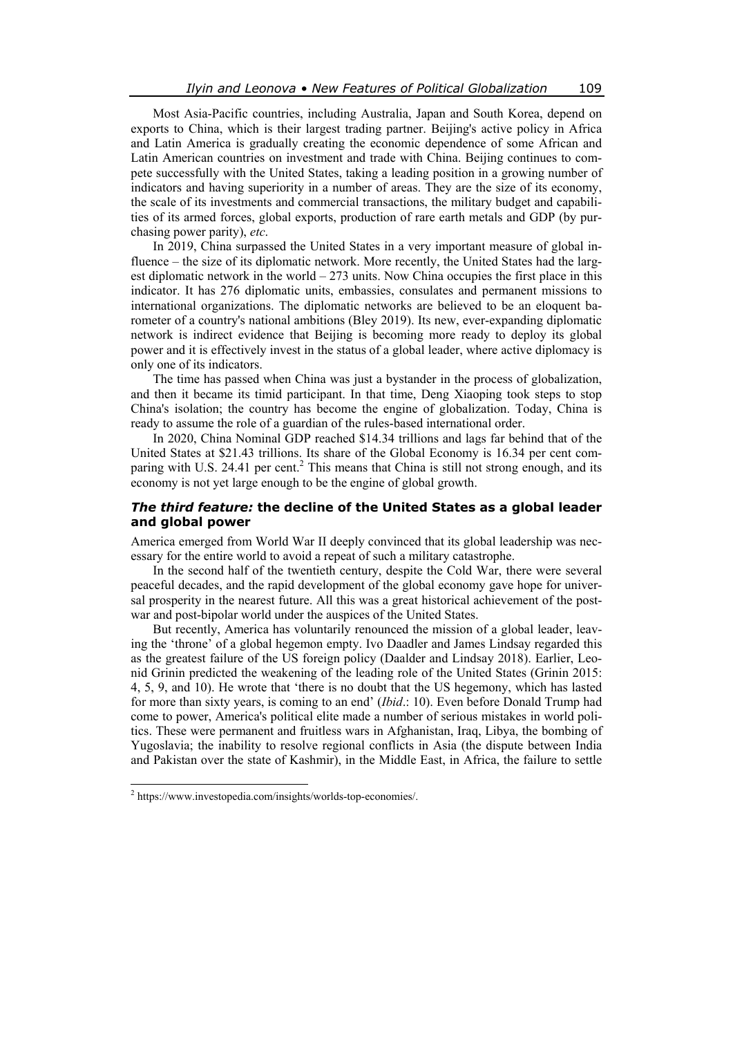Most Asia-Pacific countries, including Australia, Japan and South Korea, depend on exports to China, which is their largest trading partner. Beijing's active policy in Africa and Latin America is gradually creating the economic dependence of some African and Latin American countries on investment and trade with China. Beijing continues to compete successfully with the United States, taking a leading position in a growing number of indicators and having superiority in a number of areas. They are the size of its economy, the scale of its investments and commercial transactions, the military budget and capabilities of its armed forces, global exports, production of rare earth metals and GDP (by purchasing power parity), *etc*.

In 2019, China surpassed the United States in a very important measure of global influence – the size of its diplomatic network. More recently, the United States had the largest diplomatic network in the world  $-273$  units. Now China occupies the first place in this indicator. It has 276 diplomatic units, embassies, consulates and permanent missions to international organizations. The diplomatic networks are believed to be an eloquent barometer of a country's national ambitions (Bley 2019). Its new, ever-expanding diplomatic network is indirect evidence that Beijing is becoming more ready to deploy its global power and it is effectively invest in the status of a global leader, where active diplomacy is only one of its indicators.

The time has passed when China was just a bystander in the process of globalization, and then it became its timid participant. In that time, Deng Xiaoping took steps to stop China's isolation; the country has become the engine of globalization. Today, China is ready to assume the role of a guardian of the rules-based international order.

In 2020, China Nominal GDP reached \$14.34 trillions and lags far behind that of the United States at \$21.43 trillions. Its share of the Global Economy is 16.34 per cent comparing with U.S. 24.41 per cent. $<sup>2</sup>$  This means that China is still not strong enough, and its</sup> economy is not yet large enough to be the engine of global growth.

## *The third feature:* **the decline of the United States as a global leader and global power**

America emerged from World War II deeply convinced that its global leadership was necessary for the entire world to avoid a repeat of such a military catastrophe.

In the second half of the twentieth century, despite the Cold War, there were several peaceful decades, and the rapid development of the global economy gave hope for universal prosperity in the nearest future. All this was a great historical achievement of the postwar and post-bipolar world under the auspices of the United States.

But recently, America has voluntarily renounced the mission of a global leader, leaving the 'throne' of a global hegemon empty. Ivo Daadler and James Lindsay regarded this as the greatest failure of the US foreign policy (Daalder and Lindsay 2018). Earlier, Leonid Grinin predicted the weakening of the leading role of the United States (Grinin 2015: 4, 5, 9, and 10). He wrote that 'there is no doubt that the US hegemony, which has lasted for more than sixty years, is coming to an end' (*Ibid*.: 10). Even before Donald Trump had come to power, America's political elite made a number of serious mistakes in world politics. These were permanent and fruitless wars in Afghanistan, Iraq, Libya, the bombing of Yugoslavia; the inability to resolve regional conflicts in Asia (the dispute between India and Pakistan over the state of Kashmir), in the Middle East, in Africa, the failure to settle

 $\overline{a}$ 

<sup>2</sup> https://www.investopedia.com/insights/worlds-top-economies/.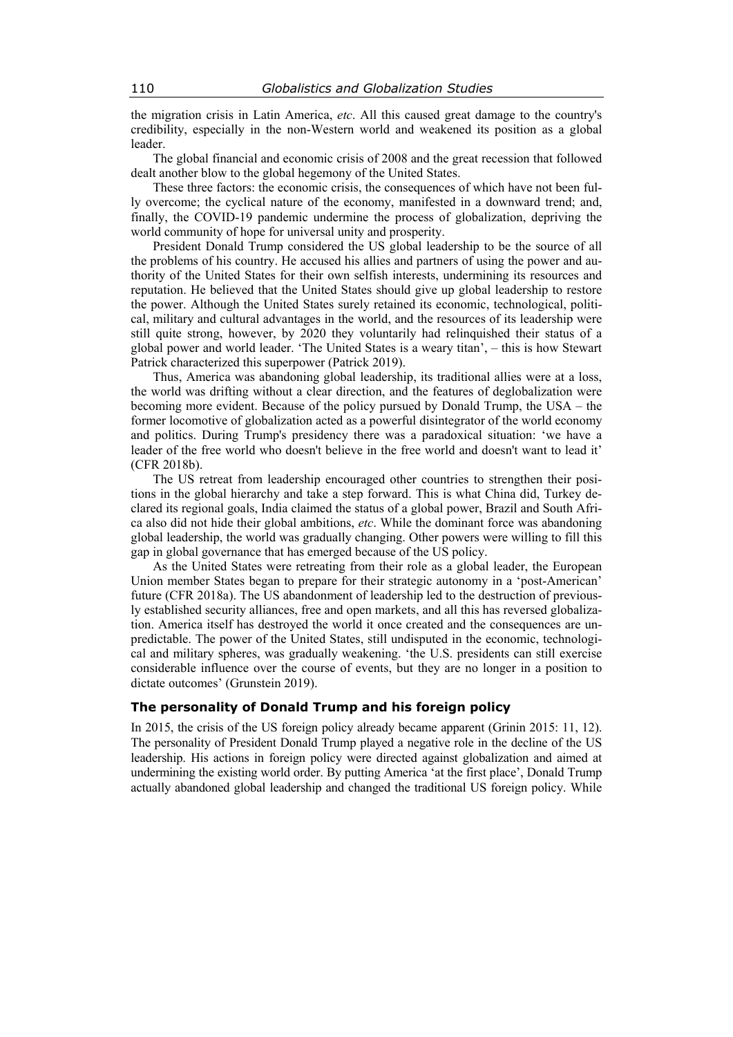the migration crisis in Latin America, *etc*. All this caused great damage to the country's credibility, especially in the non-Western world and weakened its position as a global leader.

The global financial and economic crisis of 2008 and the great recession that followed dealt another blow to the global hegemony of the United States.

These three factors: the economic crisis, the consequences of which have not been fully overcome; the cyclical nature of the economy, manifested in a downward trend; and, finally, the COVID-19 pandemic undermine the process of globalization, depriving the world community of hope for universal unity and prosperity.

President Donald Trump considered the US global leadership to be the source of all the problems of his country. He accused his allies and partners of using the power and authority of the United States for their own selfish interests, undermining its resources and reputation. He believed that the United States should give up global leadership to restore the power. Although the United States surely retained its economic, technological, political, military and cultural advantages in the world, and the resources of its leadership were still quite strong, however, by 2020 they voluntarily had relinquished their status of a global power and world leader. 'The United States is a weary titan', – this is how Stewart Patrick characterized this superpower (Patrick 2019).

Thus, America was abandoning global leadership, its traditional allies were at a loss, the world was drifting without a clear direction, and the features of deglobalization were becoming more evident. Because of the policy pursued by Donald Trump, the USA – the former locomotive of globalization acted as a powerful disintegrator of the world economy and politics. During Trump's presidency there was a paradoxical situation: 'we have a leader of the free world who doesn't believe in the free world and doesn't want to lead it' (CFR 2018b).

The US retreat from leadership encouraged other countries to strengthen their positions in the global hierarchy and take a step forward. This is what China did, Turkey declared its regional goals, India claimed the status of a global power, Brazil and South Africa also did not hide their global ambitions, *etc*. While the dominant force was abandoning global leadership, the world was gradually changing. Other powers were willing to fill this gap in global governance that has emerged because of the US policy.

As the United States were retreating from their role as a global leader, the European Union member States began to prepare for their strategic autonomy in a 'post-American' future (CFR 2018a). The US abandonment of leadership led to the destruction of previously established security alliances, free and open markets, and all this has reversed globalization. America itself has destroyed the world it once created and the consequences are unpredictable. The power of the United States, still undisputed in the economic, technological and military spheres, was gradually weakening. 'the U.S. presidents can still exercise considerable influence over the course of events, but they are no longer in a position to dictate outcomes' (Grunstein 2019).

#### **The personality of Donald Trump and his foreign policy**

In 2015, the crisis of the US foreign policy already became apparent (Grinin 2015: 11, 12). The personality of President Donald Trump played a negative role in the decline of the US leadership. His actions in foreign policy were directed against globalization and aimed at undermining the existing world order. By putting America 'at the first place', Donald Trump actually abandoned global leadership and changed the traditional US foreign policy. While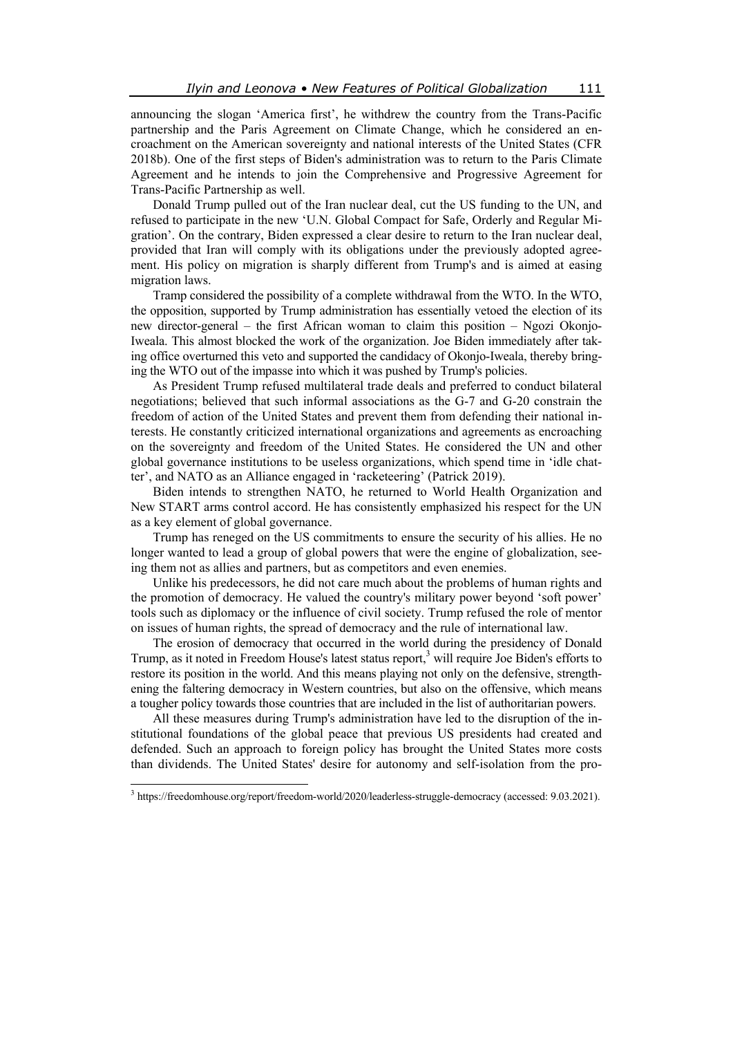announcing the slogan 'America first', he withdrew the country from the Trans-Pacific partnership and the Paris Agreement on Climate Change, which he considered an encroachment on the American sovereignty and national interests of the United States (CFR 2018b). One of the first steps of Biden's administration was to return to the Paris Climate Agreement and he intends to join the Comprehensive and Progressive Agreement for Trans-Pacific Partnership as well.

Donald Trump pulled out of the Iran nuclear deal, cut the US funding to the UN, and refused to participate in the new 'U.N. Global Compact for Safe, Orderly and Regular Migration'. On the contrary, Biden expressed a clear desire to return to the Iran nuclear deal, provided that Iran will comply with its obligations under the previously adopted agreement. His policy on migration is sharply different from Trump's and is aimed at easing migration laws.

Tramp considered the possibility of a complete withdrawal from the WTO. In the WTO, the opposition, supported by Trump administration has essentially vetoed the election of its new director-general – the first African woman to claim this position – Ngozi Okonjo-Iweala. This almost blocked the work of the organization. Joe Biden immediately after taking office overturned this veto and supported the candidacy of Okonjo-Iweala, thereby bringing the WTO out of the impasse into which it was pushed by Trump's policies.

As President Trump refused multilateral trade deals and preferred to conduct bilateral negotiations; believed that such informal associations as the G-7 and G-20 constrain the freedom of action of the United States and prevent them from defending their national interests. He constantly criticized international organizations and agreements as encroaching on the sovereignty and freedom of the United States. He considered the UN and other global governance institutions to be useless organizations, which spend time in 'idle chatter', and NATO as an Alliance engaged in 'racketeering' (Patrick 2019).

Biden intends to strengthen NATO, he returned to World Health Organization and New START arms control accord. He has consistently emphasized his respect for the UN as a key element of global governance.

Trump has reneged on the US commitments to ensure the security of his allies. He no longer wanted to lead a group of global powers that were the engine of globalization, seeing them not as allies and partners, but as competitors and even enemies.

Unlike his predecessors, he did not care much about the problems of human rights and the promotion of democracy. He valued the country's military power beyond 'soft power' tools such as diplomacy or the influence of civil society. Trump refused the role of mentor on issues of human rights, the spread of democracy and the rule of international law.

The erosion of democracy that occurred in the world during the presidency of Donald Trump, as it noted in Freedom House's latest status report,<sup>3</sup> will require Joe Biden's efforts to restore its position in the world. And this means playing not only on the defensive, strengthening the faltering democracy in Western countries, but also on the offensive, which means a tougher policy towards those countries that are included in the list of authoritarian powers.

All these measures during Trump's administration have led to the disruption of the institutional foundations of the global peace that previous US presidents had created and defended. Such an approach to foreign policy has brought the United States more costs than dividends. The United States' desire for autonomy and self-isolation from the pro-

 $\overline{a}$ 

<sup>&</sup>lt;sup>3</sup> https://freedomhouse.org/report/freedom-world/2020/leaderless-struggle-democracy (accessed: 9.03.2021).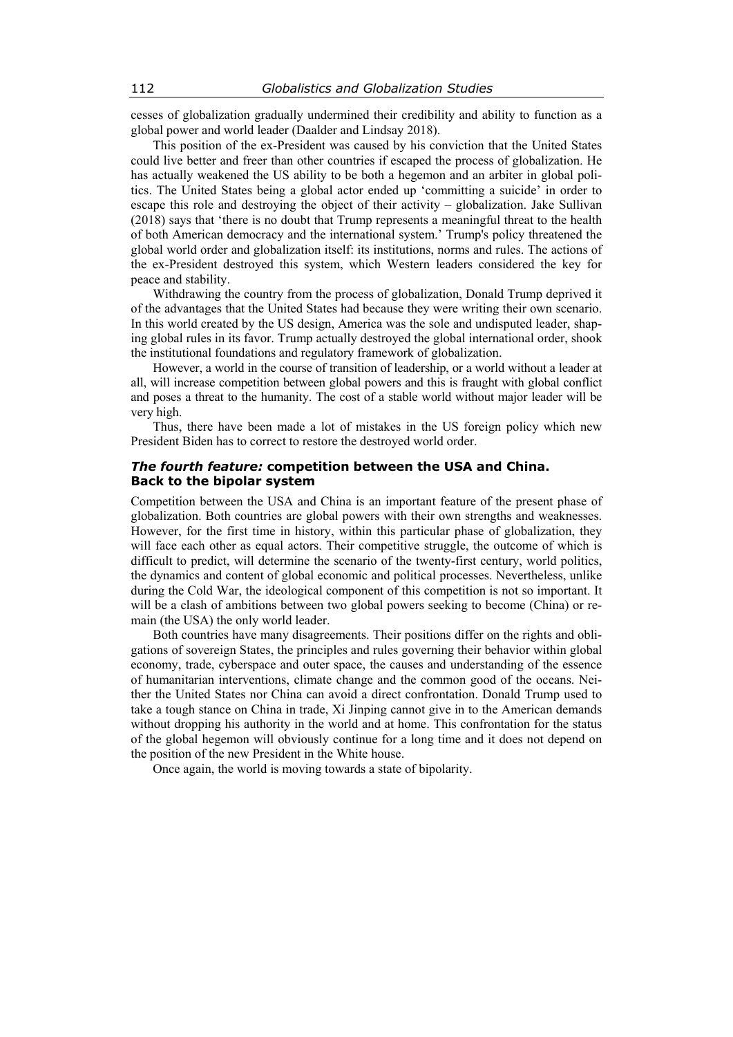cesses of globalization gradually undermined their credibility and ability to function as a global power and world leader (Daalder and Lindsay 2018).

This position of the ex-President was caused by his conviction that the United States could live better and freer than other countries if escaped the process of globalization. He has actually weakened the US ability to be both a hegemon and an arbiter in global politics. The United States being a global actor ended up 'committing a suicide' in order to escape this role and destroying the object of their activity – globalization. Jake Sullivan (2018) says that 'there is no doubt that Trump represents a meaningful threat to the health of both American democracy and the international system.' Trump's policy threatened the global world order and globalization itself: its institutions, norms and rules. The actions of the ex-President destroyed this system, which Western leaders considered the key for peace and stability.

Withdrawing the country from the process of globalization, Donald Trump deprived it of the advantages that the United States had because they were writing their own scenario. In this world created by the US design, America was the sole and undisputed leader, shaping global rules in its favor. Trump actually destroyed the global international order, shook the institutional foundations and regulatory framework of globalization.

However, a world in the course of transition of leadership, or a world without a leader at all, will increase competition between global powers and this is fraught with global conflict and poses a threat to the humanity. The cost of a stable world without major leader will be very high.

Thus, there have been made a lot of mistakes in the US foreign policy which new President Biden has to correct to restore the destroyed world order.

## *The fourth feature:* **competition between the USA and China. Back to the bipolar system**

Competition between the USA and China is an important feature of the present phase of globalization. Both countries are global powers with their own strengths and weaknesses. However, for the first time in history, within this particular phase of globalization, they will face each other as equal actors. Their competitive struggle, the outcome of which is difficult to predict, will determine the scenario of the twenty-first century, world politics, the dynamics and content of global economic and political processes. Nevertheless, unlike during the Cold War, the ideological component of this competition is not so important. It will be a clash of ambitions between two global powers seeking to become (China) or remain (the USA) the only world leader.

Both countries have many disagreements. Their positions differ on the rights and obligations of sovereign States, the principles and rules governing their behavior within global economy, trade, cyberspace and outer space, the causes and understanding of the essence of humanitarian interventions, climate change and the common good of the oceans. Neither the United States nor China can avoid a direct confrontation. Donald Trump used to take a tough stance on China in trade, Xi Jinping cannot give in to the American demands without dropping his authority in the world and at home. This confrontation for the status of the global hegemon will obviously continue for a long time and it does not depend on the position of the new President in the White house.

Once again, the world is moving towards a state of bipolarity.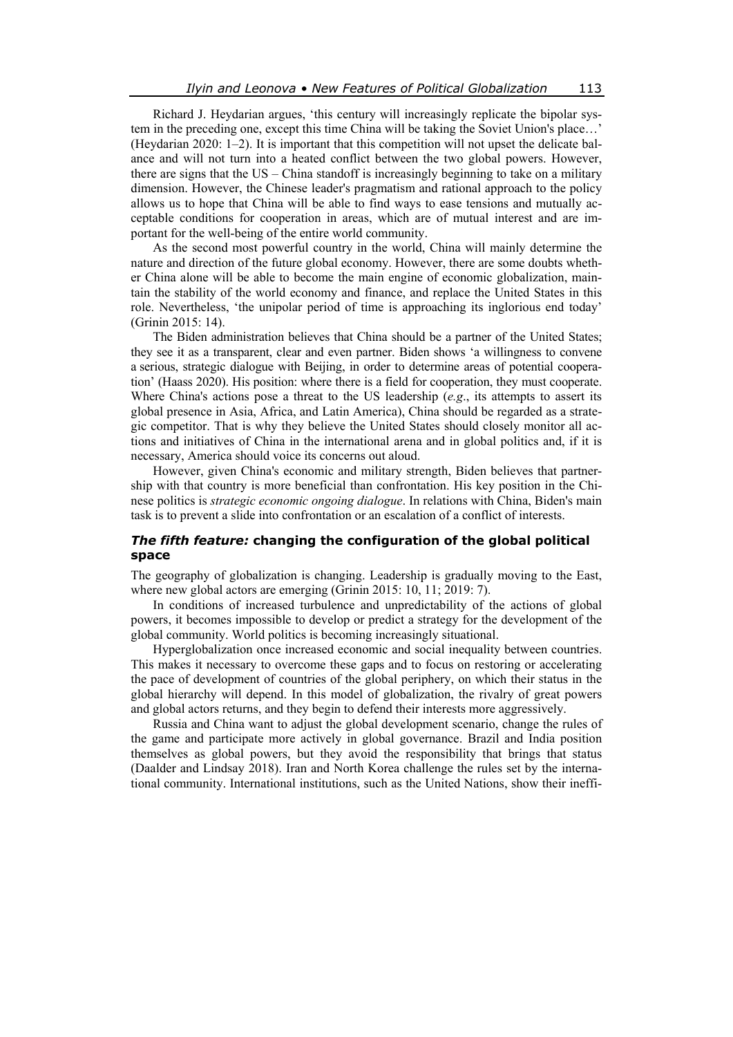Richard J. Heydarian argues, 'this century will increasingly replicate the bipolar system in the preceding one, except this time China will be taking the Soviet Union's place…' (Heydarian 2020: 1–2). It is important that this competition will not upset the delicate balance and will not turn into a heated conflict between the two global powers. However, there are signs that the US – China standoff is increasingly beginning to take on a military dimension. However, the Chinese leader's pragmatism and rational approach to the policy allows us to hope that China will be able to find ways to ease tensions and mutually acceptable conditions for cooperation in areas, which are of mutual interest and are important for the well-being of the entire world community.

As the second most powerful country in the world, China will mainly determine the nature and direction of the future global economy. However, there are some doubts whether China alone will be able to become the main engine of economic globalization, maintain the stability of the world economy and finance, and replace the United States in this role. Nevertheless, 'the unipolar period of time is approaching its inglorious end today' (Grinin 2015: 14).

The Biden administration believes that China should be a partner of the United States; they see it as a transparent, clear and even partner. Biden shows 'a willingness to convene a serious, strategic dialogue with Beijing, in order to determine areas of potential cooperation' (Haass 2020). His position: where there is a field for cooperation, they must cooperate. Where China's actions pose a threat to the US leadership (*e.g*., its attempts to assert its global presence in Asia, Africa, and Latin America), China should be regarded as a strategic competitor. That is why they believe the United States should closely monitor all actions and initiatives of China in the international arena and in global politics and, if it is necessary, America should voice its concerns out aloud.

However, given China's economic and military strength, Biden believes that partnership with that country is more beneficial than confrontation. His key position in the Chinese politics is *strategic economic ongoing dialogue*. In relations with China, Biden's main task is to prevent a slide into confrontation or an escalation of a conflict of interests.

## *The fifth feature:* **changing the configuration of the global political space**

The geography of globalization is changing. Leadership is gradually moving to the East, where new global actors are emerging (Grinin 2015: 10, 11; 2019: 7).

In conditions of increased turbulence and unpredictability of the actions of global powers, it becomes impossible to develop or predict a strategy for the development of the global community. World politics is becoming increasingly situational.

Hyperglobalization once increased economic and social inequality between countries. This makes it necessary to overcome these gaps and to focus on restoring or accelerating the pace of development of countries of the global periphery, on which their status in the global hierarchy will depend. In this model of globalization, the rivalry of great powers and global actors returns, and they begin to defend their interests more aggressively.

Russia and China want to adjust the global development scenario, change the rules of the game and participate more actively in global governance. Brazil and India position themselves as global powers, but they avoid the responsibility that brings that status (Daalder and Lindsay 2018). Iran and North Korea challenge the rules set by the international community. International institutions, such as the United Nations, show their ineffi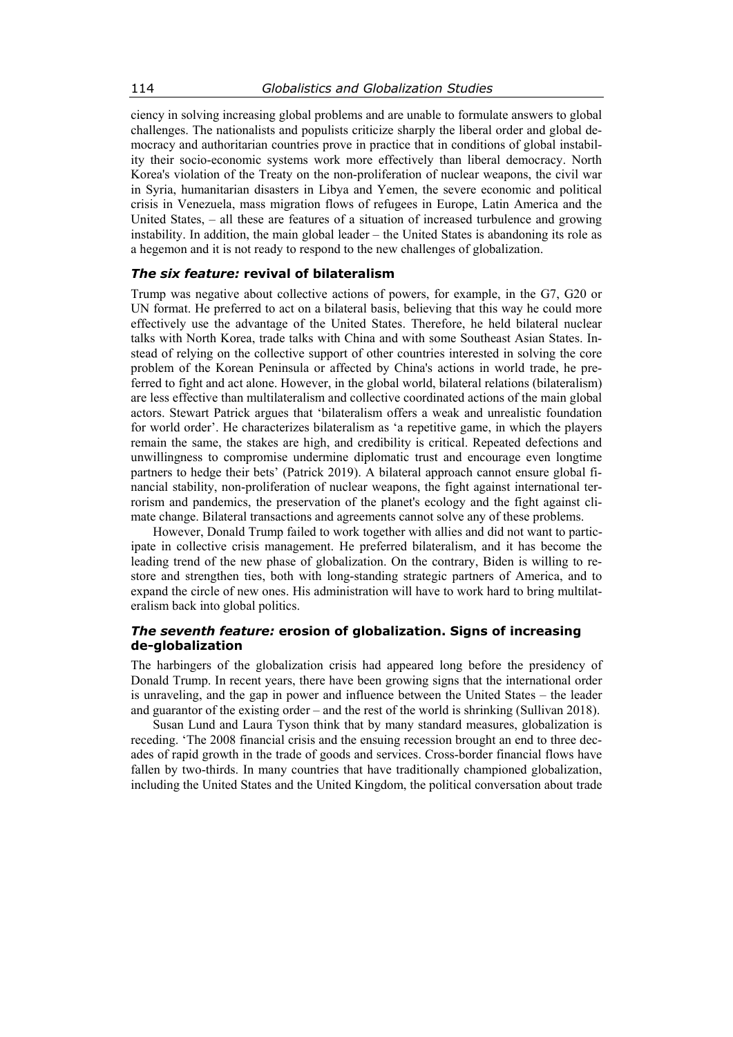ciency in solving increasing global problems and are unable to formulate answers to global challenges. The nationalists and populists criticize sharply the liberal order and global democracy and authoritarian countries prove in practice that in conditions of global instability their socio-economic systems work more effectively than liberal democracy. North Korea's violation of the Treaty on the non-proliferation of nuclear weapons, the civil war in Syria, humanitarian disasters in Libya and Yemen, the severe economic and political crisis in Venezuela, mass migration flows of refugees in Europe, Latin America and the United States, – all these are features of a situation of increased turbulence and growing instability. In addition, the main global leader – the United States is abandoning its role as a hegemon and it is not ready to respond to the new challenges of globalization.

#### *The six feature:* **revival of bilateralism**

Trump was negative about collective actions of powers, for example, in the G7, G20 or UN format. He preferred to act on a bilateral basis, believing that this way he could more effectively use the advantage of the United States. Therefore, he held bilateral nuclear talks with North Korea, trade talks with China and with some Southeast Asian States. Instead of relying on the collective support of other countries interested in solving the core problem of the Korean Peninsula or affected by China's actions in world trade, he preferred to fight and act alone. However, in the global world, bilateral relations (bilateralism) are less effective than multilateralism and collective coordinated actions of the main global actors. Stewart Patrick argues that 'bilateralism offers a weak and unrealistic foundation for world order'. He characterizes bilateralism as 'a repetitive game, in which the players remain the same, the stakes are high, and credibility is critical. Repeated defections and unwillingness to compromise undermine diplomatic trust and encourage even longtime partners to hedge their bets' (Patrick 2019). A bilateral approach cannot ensure global financial stability, non-proliferation of nuclear weapons, the fight against international terrorism and pandemics, the preservation of the planet's ecology and the fight against climate change. Bilateral transactions and agreements cannot solve any of these problems.

However, Donald Trump failed to work together with allies and did not want to participate in collective crisis management. He preferred bilateralism, and it has become the leading trend of the new phase of globalization. On the contrary, Biden is willing to restore and strengthen ties, both with long-standing strategic partners of America, and to expand the circle of new ones. His administration will have to work hard to bring multilateralism back into global politics.

# *The seventh feature:* **erosion of globalization. Signs of increasing de-globalization**

The harbingers of the globalization crisis had appeared long before the presidency of Donald Trump. In recent years, there have been growing signs that the international order is unraveling, and the gap in power and influence between the United States – the leader and guarantor of the existing order – and the rest of the world is shrinking (Sullivan 2018).

Susan Lund and Laura Tyson think that by many standard measures, globalization is receding. 'The 2008 financial crisis and the ensuing recession brought an end to three decades of rapid growth in the trade of goods and services. Cross-border financial flows have fallen by two-thirds. In many countries that have traditionally championed globalization, including the United States and the United Kingdom, the political conversation about trade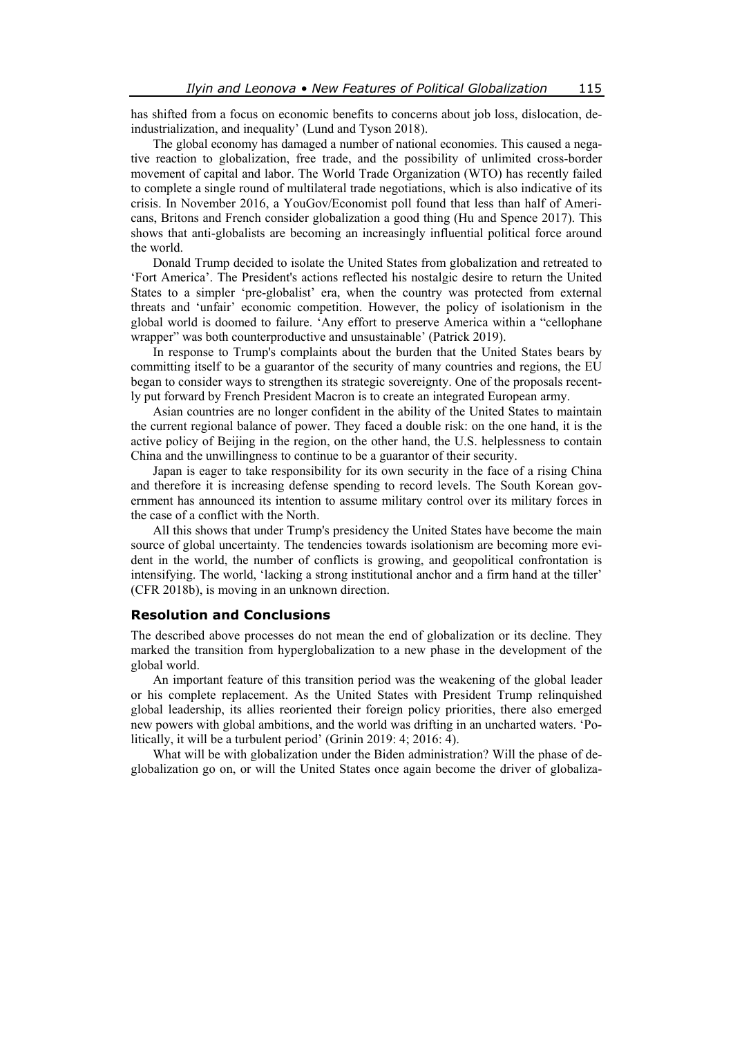has shifted from a focus on economic benefits to concerns about job loss, dislocation, deindustrialization, and inequality' (Lund and Tyson 2018).

The global economy has damaged a number of national economies. This caused a negative reaction to globalization, free trade, and the possibility of unlimited cross-border movement of capital and labor. The World Trade Organization (WTO) has recently failed to complete a single round of multilateral trade negotiations, which is also indicative of its crisis. In November 2016, a YouGov/Economist poll found that less than half of Americans, Britons and French consider globalization a good thing (Hu and Spence 2017). This shows that anti-globalists are becoming an increasingly influential political force around the world.

Donald Trump decided to isolate the United States from globalization and retreated to 'Fort America'. The President's actions reflected his nostalgic desire to return the United States to a simpler 'pre-globalist' era, when the country was protected from external threats and 'unfair' economic competition. However, the policy of isolationism in the global world is doomed to failure. 'Any effort to preserve America within a "cellophane wrapper" was both counterproductive and unsustainable' (Patrick 2019).

In response to Trump's complaints about the burden that the United States bears by committing itself to be a guarantor of the security of many countries and regions, the EU began to consider ways to strengthen its strategic sovereignty. One of the proposals recently put forward by French President Macron is to create an integrated European army.

Asian countries are no longer confident in the ability of the United States to maintain the current regional balance of power. They faced a double risk: on the one hand, it is the active policy of Beijing in the region, on the other hand, the U.S. helplessness to contain China and the unwillingness to continue to be a guarantor of their security.

Japan is eager to take responsibility for its own security in the face of a rising China and therefore it is increasing defense spending to record levels. The South Korean government has announced its intention to assume military control over its military forces in the case of a conflict with the North.

All this shows that under Trump's presidency the United States have become the main source of global uncertainty. The tendencies towards isolationism are becoming more evident in the world, the number of conflicts is growing, and geopolitical confrontation is intensifying. The world, 'lacking a strong institutional anchor and a firm hand at the tiller' (CFR 2018b), is moving in an unknown direction.

#### **Resolution and Conclusions**

The described above processes do not mean the end of globalization or its decline. They marked the transition from hyperglobalization to a new phase in the development of the global world.

An important feature of this transition period was the weakening of the global leader or his complete replacement. As the United States with President Trump relinquished global leadership, its allies reoriented their foreign policy priorities, there also emerged new powers with global ambitions, and the world was drifting in an uncharted waters. 'Politically, it will be a turbulent period' (Grinin 2019: 4; 2016: 4).

What will be with globalization under the Biden administration? Will the phase of deglobalization go on, or will the United States once again become the driver of globaliza-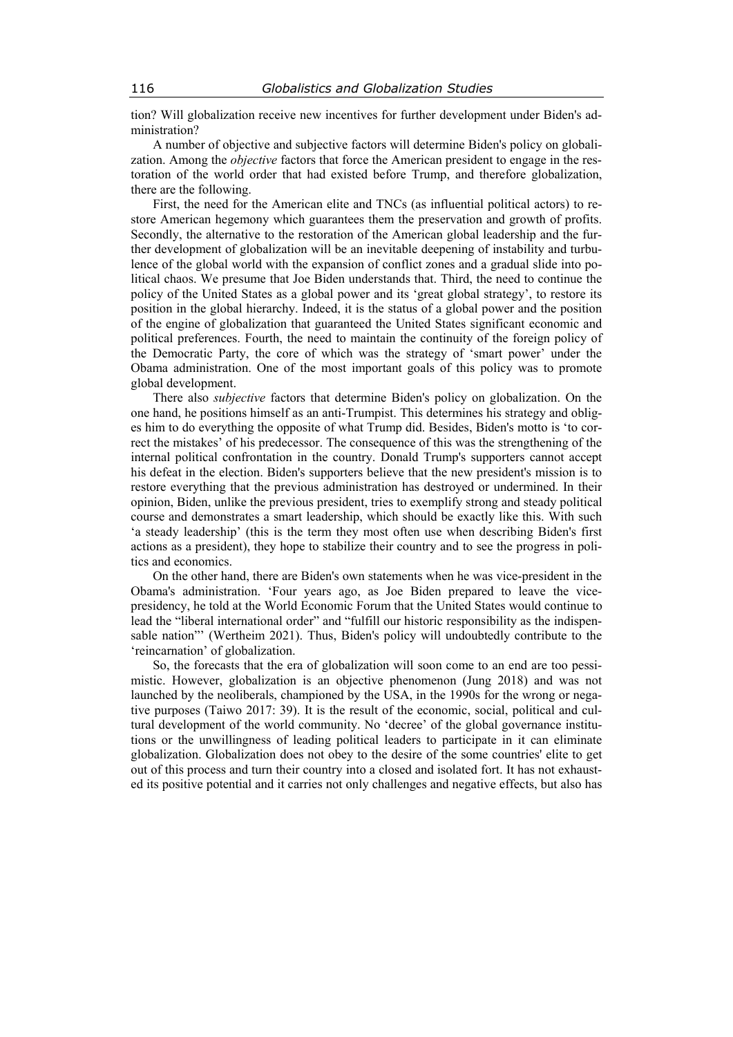tion? Will globalization receive new incentives for further development under Biden's administration?

A number of objective and subjective factors will determine Biden's policy on globalization. Among the *objective* factors that force the American president to engage in the restoration of the world order that had existed before Trump, and therefore globalization, there are the following.

First, the need for the American elite and TNCs (as influential political actors) to restore American hegemony which guarantees them the preservation and growth of profits. Secondly, the alternative to the restoration of the American global leadership and the further development of globalization will be an inevitable deepening of instability and turbulence of the global world with the expansion of conflict zones and a gradual slide into political chaos. We presume that Joe Biden understands that. Third, the need to continue the policy of the United States as a global power and its 'great global strategy', to restore its position in the global hierarchy. Indeed, it is the status of a global power and the position of the engine of globalization that guaranteed the United States significant economic and political preferences. Fourth, the need to maintain the continuity of the foreign policy of the Democratic Party, the core of which was the strategy of 'smart power' under the Obama administration. One of the most important goals of this policy was to promote global development.

There also *subjective* factors that determine Biden's policy on globalization. On the one hand, he positions himself as an anti-Trumpist. This determines his strategy and obliges him to do everything the opposite of what Trump did. Besides, Biden's motto is 'to correct the mistakes' of his predecessor. The consequence of this was the strengthening of the internal political confrontation in the country. Donald Trump's supporters cannot accept his defeat in the election. Biden's supporters believe that the new president's mission is to restore everything that the previous administration has destroyed or undermined. In their opinion, Biden, unlike the previous president, tries to exemplify strong and steady political course and demonstrates a smart leadership, which should be exactly like this. With such 'a steady leadership' (this is the term they most often use when describing Biden's first actions as a president), they hope to stabilize their country and to see the progress in politics and economics.

On the other hand, there are Biden's own statements when he was vice-president in the Obama's administration. 'Four years ago, as Joe Biden prepared to leave the vicepresidency, he told at the World Economic Forum that the United States would continue to lead the "liberal international order" and "fulfill our historic responsibility as the indispensable nation"' (Wertheim 2021). Thus, Biden's policy will undoubtedly contribute to the 'reincarnation' of globalization.

So, the forecasts that the era of globalization will soon come to an end are too pessimistic. However, globalization is an objective phenomenon (Jung 2018) and was not launched by the neoliberals, championed by the USA, in the 1990s for the wrong or negative purposes (Taiwo 2017: 39). It is the result of the economic, social, political and cultural development of the world community. No 'decree' of the global governance institutions or the unwillingness of leading political leaders to participate in it can eliminate globalization. Globalization does not obey to the desire of the some countries' elite to get out of this process and turn their country into a closed and isolated fort. It has not exhausted its positive potential and it carries not only challenges and negative effects, but also has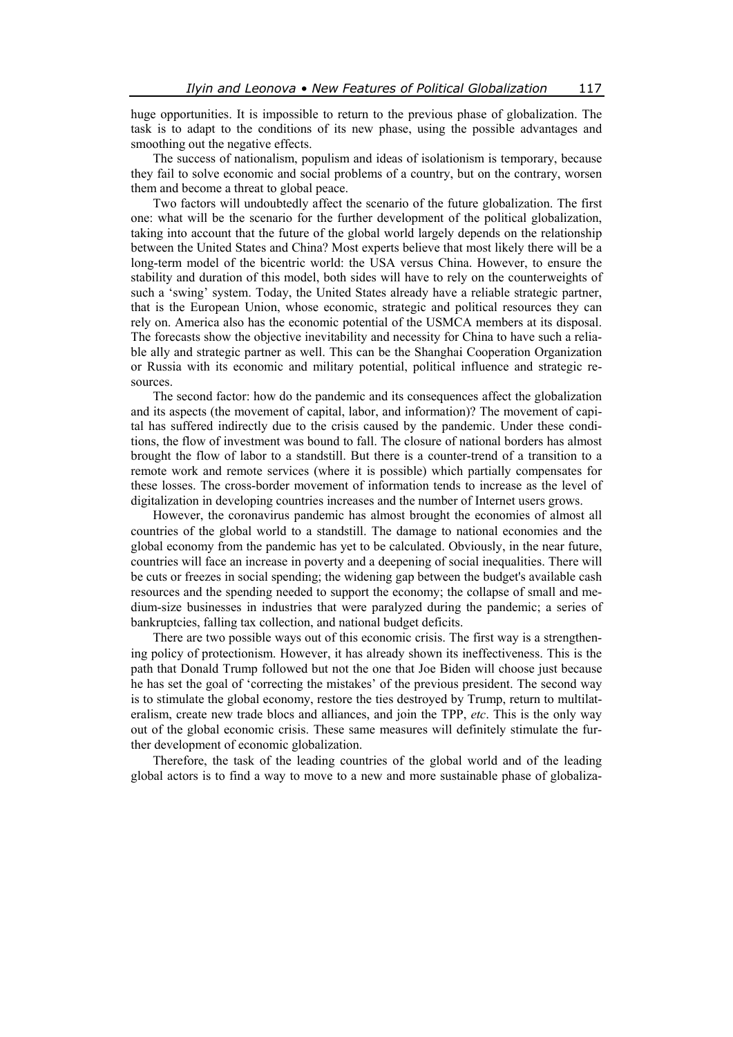huge opportunities. It is impossible to return to the previous phase of globalization. The task is to adapt to the conditions of its new phase, using the possible advantages and smoothing out the negative effects.

The success of nationalism, populism and ideas of isolationism is temporary, because they fail to solve economic and social problems of a country, but on the contrary, worsen them and become a threat to global peace.

Two factors will undoubtedly affect the scenario of the future globalization. The first one: what will be the scenario for the further development of the political globalization, taking into account that the future of the global world largely depends on the relationship between the United States and China? Most experts believe that most likely there will be a long-term model of the bicentric world: the USA versus China. However, to ensure the stability and duration of this model, both sides will have to rely on the counterweights of such a 'swing' system. Today, the United States already have a reliable strategic partner, that is the European Union, whose economic, strategic and political resources they can rely on. America also has the economic potential of the USMCA members at its disposal. The forecasts show the objective inevitability and necessity for China to have such a reliable ally and strategic partner as well. This can be the Shanghai Cooperation Organization or Russia with its economic and military potential, political influence and strategic resources.

The second factor: how do the pandemic and its consequences affect the globalization and its aspects (the movement of capital, labor, and information)? The movement of capital has suffered indirectly due to the crisis caused by the pandemic. Under these conditions, the flow of investment was bound to fall. The closure of national borders has almost brought the flow of labor to a standstill. But there is a counter-trend of a transition to a remote work and remote services (where it is possible) which partially compensates for these losses. The cross-border movement of information tends to increase as the level of digitalization in developing countries increases and the number of Internet users grows.

However, the coronavirus pandemic has almost brought the economies of almost all countries of the global world to a standstill. The damage to national economies and the global economy from the pandemic has yet to be calculated. Obviously, in the near future, countries will face an increase in poverty and a deepening of social inequalities. There will be cuts or freezes in social spending; the widening gap between the budget's available cash resources and the spending needed to support the economy; the collapse of small and medium-size businesses in industries that were paralyzed during the pandemic; a series of bankruptcies, falling tax collection, and national budget deficits.

There are two possible ways out of this economic crisis. The first way is a strengthening policy of protectionism. However, it has already shown its ineffectiveness. This is the path that Donald Trump followed but not the one that Joe Biden will choose just because he has set the goal of 'correcting the mistakes' of the previous president. The second way is to stimulate the global economy, restore the ties destroyed by Trump, return to multilateralism, create new trade blocs and alliances, and join the TPP, *etc*. This is the only way out of the global economic crisis. These same measures will definitely stimulate the further development of economic globalization.

Therefore, the task of the leading countries of the global world and of the leading global actors is to find a way to move to a new and more sustainable phase of globaliza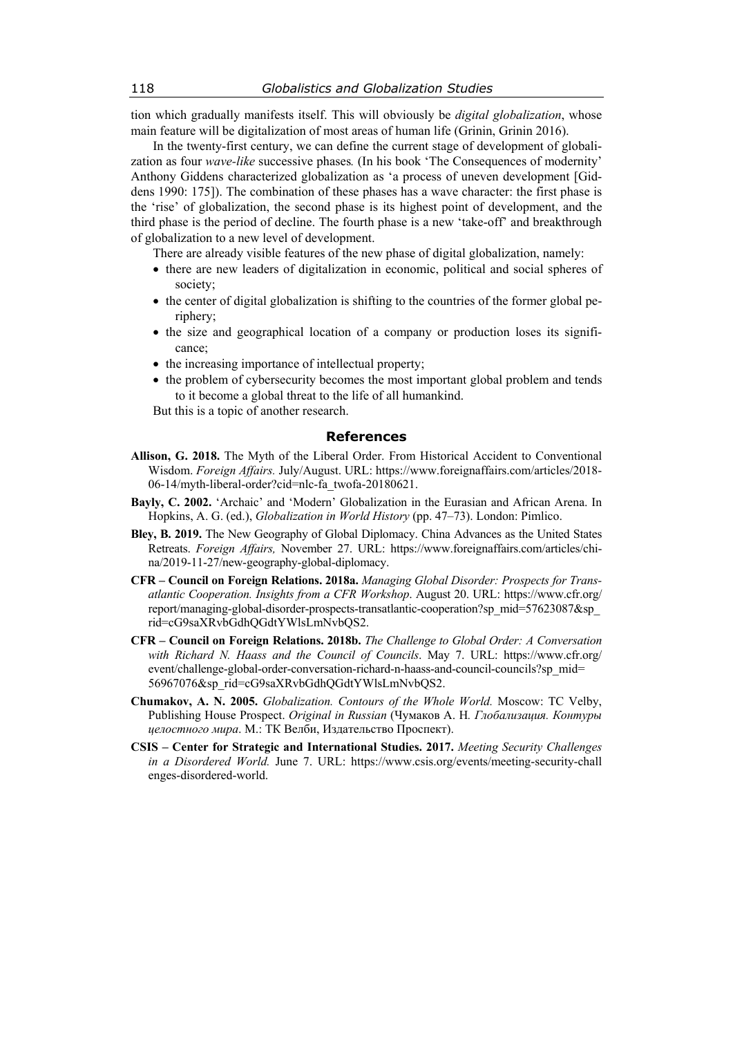tion which gradually manifests itself. This will obviously be *digital globalization*, whose main feature will be digitalization of most areas of human life (Grinin, Grinin 2016).

In the twenty-first century, we can define the current stage of development of globalization as four *wave-like* successive phases*.* (In his book 'The Consequences of modernity' Anthony Giddens characterized globalization as 'a process of uneven development [Giddens 1990: 175]). The combination of these phases has a wave character: the first phase is the 'rise' of globalization, the second phase is its highest point of development, and the third phase is the period of decline. The fourth phase is a new 'take-off' and breakthrough of globalization to a new level of development.

There are already visible features of the new phase of digital globalization, namely:

- there are new leaders of digitalization in economic, political and social spheres of society;
- the center of digital globalization is shifting to the countries of the former global periphery;
- the size and geographical location of a company or production loses its significance;
- the increasing importance of intellectual property;
- the problem of cybersecurity becomes the most important global problem and tends to it become a global threat to the life of all humankind.

But this is a topic of another research.

## **References**

- **Allison, G. 2018.** The Myth of the Liberal Order. From Historical Accident to Conventional Wisdom. *Foreign Affairs.* July/August. URL: https://www.foreignaffairs.com/articles/2018- 06-14/myth-liberal-order?cid=nlc-fa\_twofa-20180621.
- **Bayly, C. 2002.** 'Archaic' and 'Modern' Globalization in the Eurasian and African Arena. In Hopkins, A. G. (ed.), *Globalization in World History* (pp. 47–73). London: Pimlico.
- **Bley, B. 2019.** The New Geography of Global Diplomacy. China Advances as the United States Retreats. *Foreign Affairs,* November 27. URL: https://www.foreignaffairs.com/articles/china/2019-11-27/new-geography-global-diplomacy.
- **CFR Council on Foreign Relations. 2018a.** *Managing Global Disorder: Prospects for Transatlantic Cooperation. Insights from a CFR Workshop*. August 20. URL: https://www.cfr.org/ report/managing-global-disorder-prospects-transatlantic-cooperation?sp\_mid=57623087&sp\_ rid=cG9saXRvbGdhQGdtYWlsLmNvbQS2.
- **CFR Council on Foreign Relations. 2018b.** *The Challenge to Global Order: A Conversation with Richard N. Haass and the Council of Councils*. May 7. URL: https://www.cfr.org/ event/challenge-global-order-conversation-richard-n-haass-and-council-councils?sp\_mid= 56967076&sp\_rid=cG9saXRvbGdhQGdtYWlsLmNvbQS2.
- **Chumakov, A. N. 2005.** *Globalization. Contours of the Whole World.* Moscow: TC Velby, Publishing House Prospect. *Original in Russian* (Чумаков А. Н*. Глобализация. Контуры целостного мира*. М.: ТК Велби, Издательство Проспект).
- **CSIS Center for Strategic and International Studies. 2017.** *Meeting Security Challenges in a Disordered World.* June 7. URL: https://www.csis.org/events/meeting-security-chall enges-disordered-world.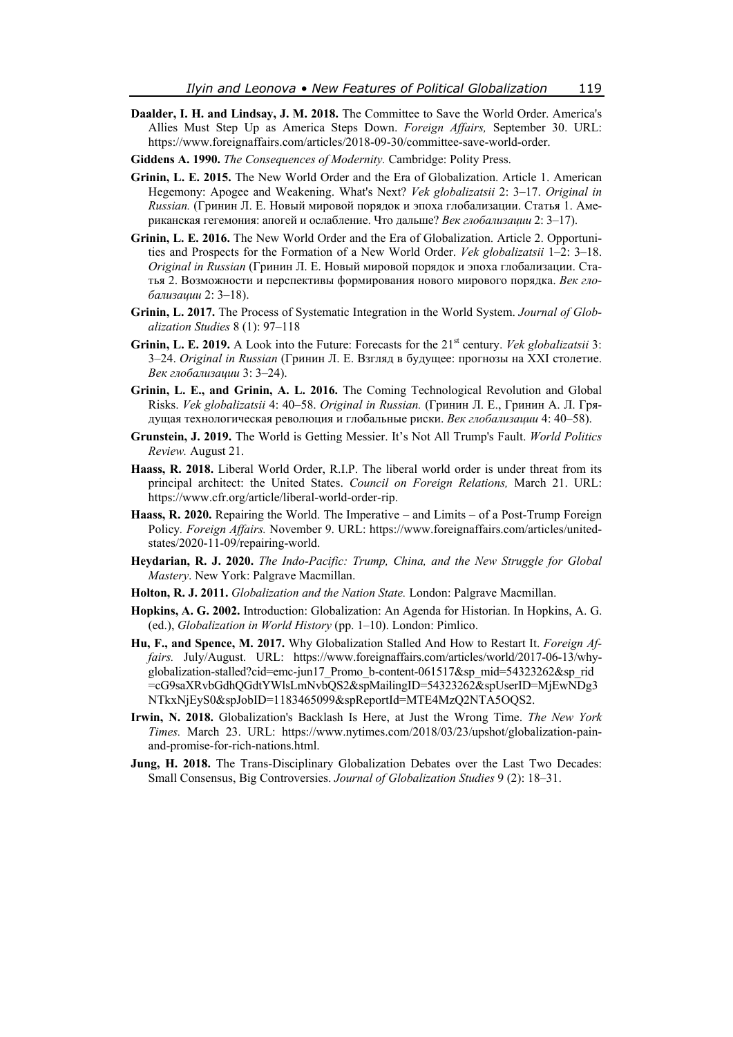- **Daalder, I. H. and Lindsay, J. M. 2018.** The Committee to Save the World Order. America's Allies Must Step Up as America Steps Down. *Foreign Affairs,* September 30. URL: https://www.foreignaffairs.com/articles/2018-09-30/committee-save-world-order.
- **Giddens A. 1990.** *The Consequences of Modernity.* Cambridge: Polity Press.
- **Grinin, L. E. 2015.** The New World Order and the Era of Globalization. Article 1. American Hegemony: Apogee and Weakening. What's Next? *Vek globalizatsii* 2: 3–17. *Original in Russian.* (Гринин Л. Е. Новый мировой порядок и эпоха глобализации. Статья 1. Американская гегемония: апогей и ослабление. Что дальше? *Век глобализации* 2: 3–17).
- **Grinin, L. E. 2016.** The New World Order and the Era of Globalization. Article 2. Opportunities and Prospects for the Formation of a New World Order. *Vek globalizatsii* 1–2: 3–18. *Original in Russian* (Гринин Л. Е. Новый мировой порядок и эпоха глобализации. Статья 2. Возможности и перспективы формирования нового мирового порядка. *Век глобализации* 2: 3–18).
- **Grinin, L. 2017.** The Process of Systematic Integration in the World System. *Journal of Globalization Studies* 8 (1): 97–118
- Grinin, L. E. 2019. A Look into the Future: Forecasts for the 21<sup>st</sup> century. *Vek globalizatsii* 3: 3–24. *Original in Russian* (Гринин Л. Е. Взгляд в будущее: прогнозы на XXI столетие. *Век глобализации* 3: 3–24).
- **Grinin, L. E., and Grinin, A. L. 2016.** The Coming Technological Revolution and Global Risks. *Vek globalizatsii* 4: 40–58. *Original in Russian.* (Гринин Л. Е., Гринин А. Л. Грядущая технологическая революция и глобальные риски. *Век глобализации* 4: 40–58).
- **Grunstein, J. 2019.** The World is Getting Messier. It's Not All Trump's Fault. *World Politics Review.* August 21.
- **Haass, R. 2018.** Liberal World Order, R.I.P. The liberal world order is under threat from its principal architect: the United States. *Council on Foreign Relations,* March 21. URL: https://www.cfr.org/article/liberal-world-order-rip.
- **Haass, R. 2020.** Repairing the World. The Imperative and Limits of a Post-Trump Foreign Policy*. Foreign Affairs.* November 9. URL: https://www.foreignaffairs.com/articles/unitedstates/2020-11-09/repairing-world.
- **Heydarian, R. J. 2020.** *The Indo-Pacific: Trump, China, and the New Struggle for Global Mastery*. New York: Palgrave Macmillan.
- **Holton, R. J. 2011.** *Globalization and the Nation State.* London: Palgrave Macmillan.
- **Hopkins, A. G. 2002.** Introduction: Globalization: An Agenda for Historian. In Hopkins, A. G. (ed.), *Globalization in World History* (pp. 1–10). London: Pimlico.
- **Hu, F., and Spence, M. 2017.** Why Globalization Stalled And How to Restart It. *Foreign Affairs.* July/August. URL: https://www.foreignaffairs.com/articles/world/2017-06-13/whyglobalization-stalled?cid=emc-jun17\_Promo\_b-content-061517&sp\_mid=54323262&sp\_rid =cG9saXRvbGdhQGdtYWlsLmNvbQS2&spMailingID=54323262&spUserID=MjEwNDg3 NTkxNjEyS0&spJobID=1183465099&spReportId=MTE4MzQ2NTA5OQS2.
- **Irwin, N. 2018.** Globalization's Backlash Is Here, at Just the Wrong Time. *The New York Times.* March 23. URL: https://www.nytimes.com/2018/03/23/upshot/globalization-painand-promise-for-rich-nations.html.
- **Jung, H. 2018.** The Trans-Disciplinary Globalization Debates over the Last Two Decades: Small Consensus, Big Controversies. *Journal of Globalization Studies* 9 (2): 18–31.